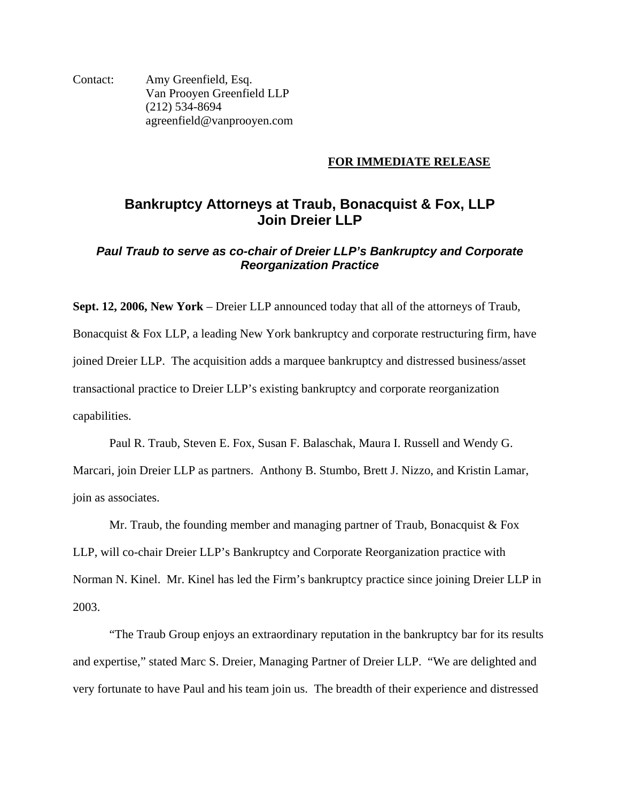Contact: Amy Greenfield, Esq. Van Prooyen Greenfield LLP (212) 534-8694 agreenfield@vanprooyen.com

#### **FOR IMMEDIATE RELEASE**

# **Bankruptcy Attorneys at Traub, Bonacquist & Fox, LLP Join Dreier LLP**

# *Paul Traub to serve as co-chair of Dreier LLP's Bankruptcy and Corporate Reorganization Practice*

**Sept. 12, 2006, New York** – Dreier LLP announced today that all of the attorneys of Traub, Bonacquist & Fox LLP, a leading New York bankruptcy and corporate restructuring firm, have joined Dreier LLP. The acquisition adds a marquee bankruptcy and distressed business/asset transactional practice to Dreier LLP's existing bankruptcy and corporate reorganization capabilities.

 Paul R. Traub, Steven E. Fox, Susan F. Balaschak, Maura I. Russell and Wendy G. Marcari, join Dreier LLP as partners. Anthony B. Stumbo, Brett J. Nizzo, and Kristin Lamar, join as associates.

Mr. Traub, the founding member and managing partner of Traub, Bonacquist  $&$  Fox LLP, will co-chair Dreier LLP's Bankruptcy and Corporate Reorganization practice with Norman N. Kinel. Mr. Kinel has led the Firm's bankruptcy practice since joining Dreier LLP in 2003.

"The Traub Group enjoys an extraordinary reputation in the bankruptcy bar for its results and expertise," stated Marc S. Dreier, Managing Partner of Dreier LLP. "We are delighted and very fortunate to have Paul and his team join us. The breadth of their experience and distressed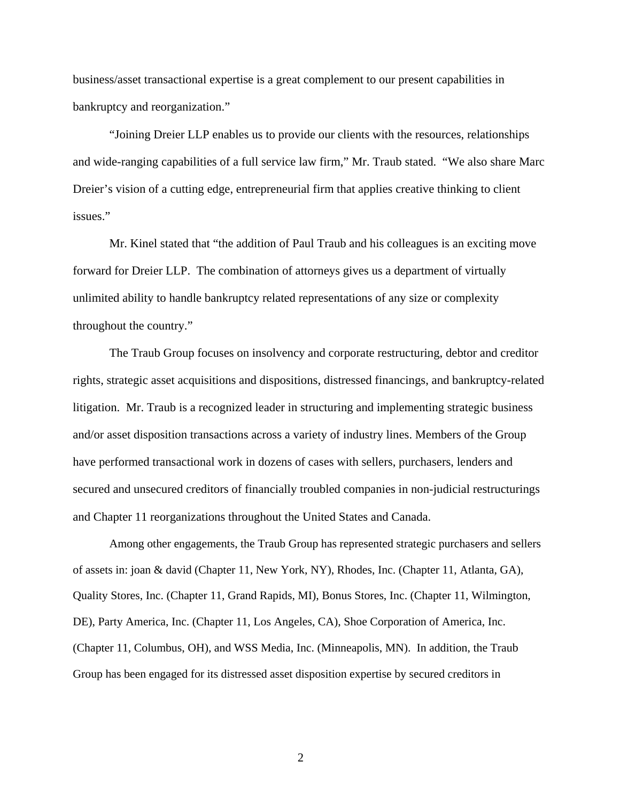business/asset transactional expertise is a great complement to our present capabilities in bankruptcy and reorganization."

"Joining Dreier LLP enables us to provide our clients with the resources, relationships and wide-ranging capabilities of a full service law firm," Mr. Traub stated. "We also share Marc Dreier's vision of a cutting edge, entrepreneurial firm that applies creative thinking to client issues."

Mr. Kinel stated that "the addition of Paul Traub and his colleagues is an exciting move forward for Dreier LLP. The combination of attorneys gives us a department of virtually unlimited ability to handle bankruptcy related representations of any size or complexity throughout the country."

The Traub Group focuses on insolvency and corporate restructuring, debtor and creditor rights, strategic asset acquisitions and dispositions, distressed financings, and bankruptcy-related litigation. Mr. Traub is a recognized leader in structuring and implementing strategic business and/or asset disposition transactions across a variety of industry lines. Members of the Group have performed transactional work in dozens of cases with sellers, purchasers, lenders and secured and unsecured creditors of financially troubled companies in non-judicial restructurings and Chapter 11 reorganizations throughout the United States and Canada.

Among other engagements, the Traub Group has represented strategic purchasers and sellers of assets in: joan & david (Chapter 11, New York, NY), Rhodes, Inc. (Chapter 11, Atlanta, GA), Quality Stores, Inc. (Chapter 11, Grand Rapids, MI), Bonus Stores, Inc. (Chapter 11, Wilmington, DE), Party America, Inc. (Chapter 11, Los Angeles, CA), Shoe Corporation of America, Inc. (Chapter 11, Columbus, OH), and WSS Media, Inc. (Minneapolis, MN). In addition, the Traub Group has been engaged for its distressed asset disposition expertise by secured creditors in

2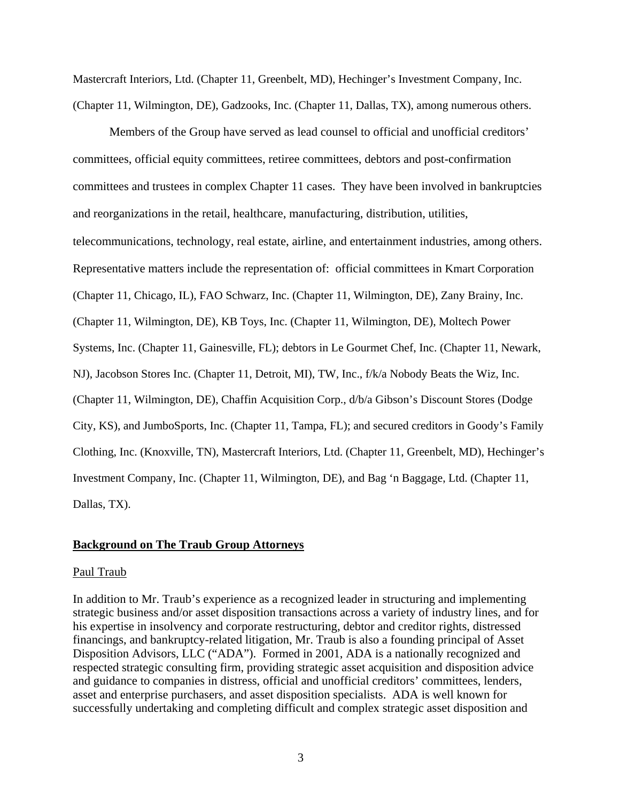Mastercraft Interiors, Ltd. (Chapter 11, Greenbelt, MD), Hechinger's Investment Company, Inc. (Chapter 11, Wilmington, DE), Gadzooks, Inc. (Chapter 11, Dallas, TX), among numerous others.

Members of the Group have served as lead counsel to official and unofficial creditors' committees, official equity committees, retiree committees, debtors and post-confirmation committees and trustees in complex Chapter 11 cases. They have been involved in bankruptcies and reorganizations in the retail, healthcare, manufacturing, distribution, utilities, telecommunications, technology, real estate, airline, and entertainment industries, among others. Representative matters include the representation of: official committees in Kmart Corporation (Chapter 11, Chicago, IL), FAO Schwarz, Inc. (Chapter 11, Wilmington, DE), Zany Brainy, Inc. (Chapter 11, Wilmington, DE), KB Toys, Inc. (Chapter 11, Wilmington, DE), Moltech Power Systems, Inc. (Chapter 11, Gainesville, FL); debtors in Le Gourmet Chef, Inc. (Chapter 11, Newark, NJ), Jacobson Stores Inc. (Chapter 11, Detroit, MI), TW, Inc., f/k/a Nobody Beats the Wiz, Inc. (Chapter 11, Wilmington, DE), Chaffin Acquisition Corp., d/b/a Gibson's Discount Stores (Dodge City, KS), and JumboSports, Inc. (Chapter 11, Tampa, FL); and secured creditors in Goody's Family Clothing, Inc. (Knoxville, TN), Mastercraft Interiors, Ltd. (Chapter 11, Greenbelt, MD), Hechinger's Investment Company, Inc. (Chapter 11, Wilmington, DE), and Bag 'n Baggage, Ltd. (Chapter 11, Dallas, TX).

#### **Background on The Traub Group Attorneys**

#### Paul Traub

In addition to Mr. Traub's experience as a recognized leader in structuring and implementing strategic business and/or asset disposition transactions across a variety of industry lines, and for his expertise in insolvency and corporate restructuring, debtor and creditor rights, distressed financings, and bankruptcy-related litigation, Mr. Traub is also a founding principal of Asset Disposition Advisors, LLC ("ADA"). Formed in 2001, ADA is a nationally recognized and respected strategic consulting firm, providing strategic asset acquisition and disposition advice and guidance to companies in distress, official and unofficial creditors' committees, lenders, asset and enterprise purchasers, and asset disposition specialists. ADA is well known for successfully undertaking and completing difficult and complex strategic asset disposition and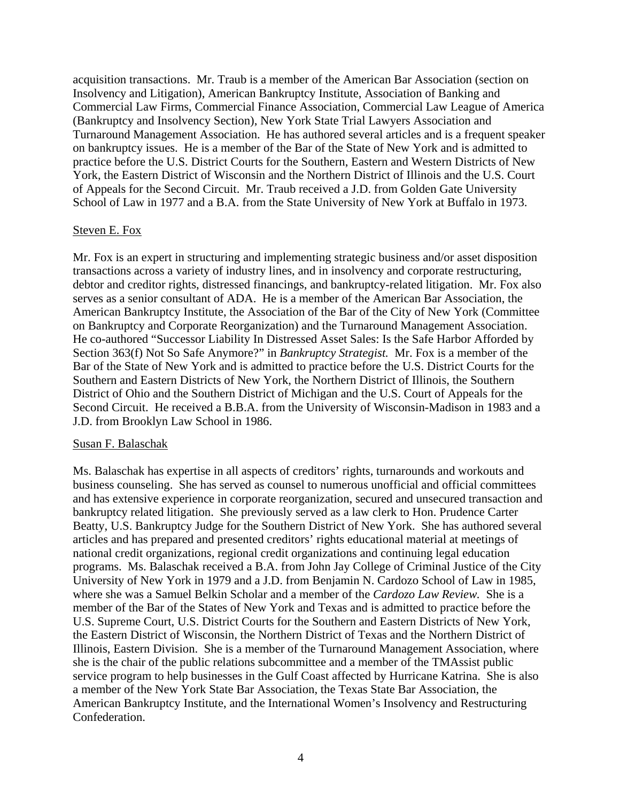acquisition transactions. Mr. Traub is a member of the American Bar Association (section on Insolvency and Litigation), American Bankruptcy Institute, Association of Banking and Commercial Law Firms, Commercial Finance Association, Commercial Law League of America (Bankruptcy and Insolvency Section), New York State Trial Lawyers Association and Turnaround Management Association. He has authored several articles and is a frequent speaker on bankruptcy issues. He is a member of the Bar of the State of New York and is admitted to practice before the U.S. District Courts for the Southern, Eastern and Western Districts of New York, the Eastern District of Wisconsin and the Northern District of Illinois and the U.S. Court of Appeals for the Second Circuit. Mr. Traub received a J.D. from Golden Gate University School of Law in 1977 and a B.A. from the State University of New York at Buffalo in 1973.

#### Steven E. Fox

Mr. Fox is an expert in structuring and implementing strategic business and/or asset disposition transactions across a variety of industry lines, and in insolvency and corporate restructuring, debtor and creditor rights, distressed financings, and bankruptcy-related litigation. Mr. Fox also serves as a senior consultant of ADA. He is a member of the American Bar Association, the American Bankruptcy Institute, the Association of the Bar of the City of New York (Committee on Bankruptcy and Corporate Reorganization) and the Turnaround Management Association. He co-authored "Successor Liability In Distressed Asset Sales: Is the Safe Harbor Afforded by Section 363(f) Not So Safe Anymore?" in *Bankruptcy Strategist.* Mr. Fox is a member of the Bar of the State of New York and is admitted to practice before the U.S. District Courts for the Southern and Eastern Districts of New York, the Northern District of Illinois, the Southern District of Ohio and the Southern District of Michigan and the U.S. Court of Appeals for the Second Circuit. He received a B.B.A. from the University of Wisconsin-Madison in 1983 and a J.D. from Brooklyn Law School in 1986.

#### Susan F. Balaschak

Ms. Balaschak has expertise in all aspects of creditors' rights, turnarounds and workouts and business counseling. She has served as counsel to numerous unofficial and official committees and has extensive experience in corporate reorganization, secured and unsecured transaction and bankruptcy related litigation. She previously served as a law clerk to Hon. Prudence Carter Beatty, U.S. Bankruptcy Judge for the Southern District of New York. She has authored several articles and has prepared and presented creditors' rights educational material at meetings of national credit organizations, regional credit organizations and continuing legal education programs. Ms. Balaschak received a B.A. from John Jay College of Criminal Justice of the City University of New York in 1979 and a J.D. from Benjamin N. Cardozo School of Law in 1985, where she was a Samuel Belkin Scholar and a member of the *Cardozo Law Review.* She is a member of the Bar of the States of New York and Texas and is admitted to practice before the U.S. Supreme Court, U.S. District Courts for the Southern and Eastern Districts of New York, the Eastern District of Wisconsin, the Northern District of Texas and the Northern District of Illinois, Eastern Division. She is a member of the Turnaround Management Association, where she is the chair of the public relations subcommittee and a member of the TMAssist public service program to help businesses in the Gulf Coast affected by Hurricane Katrina. She is also a member of the New York State Bar Association, the Texas State Bar Association, the American Bankruptcy Institute, and the International Women's Insolvency and Restructuring Confederation.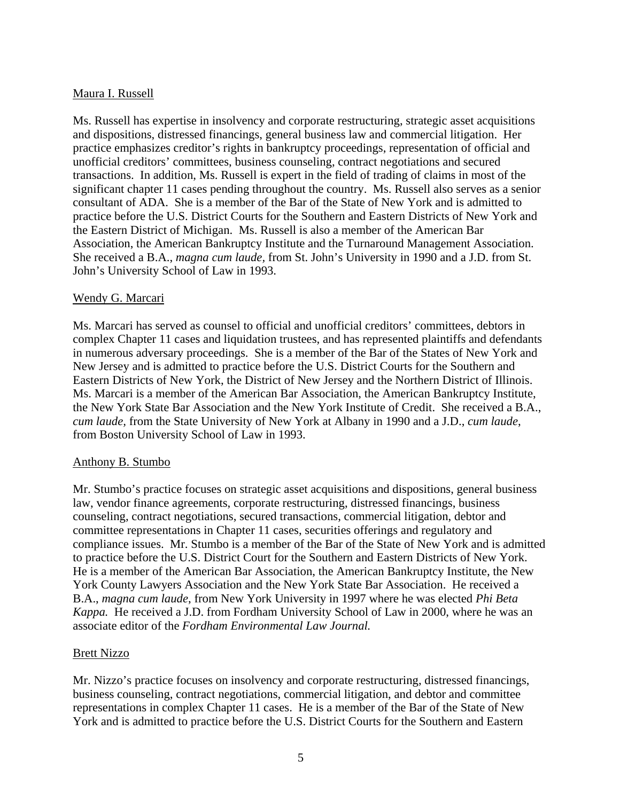# Maura I. Russell

Ms. Russell has expertise in insolvency and corporate restructuring, strategic asset acquisitions and dispositions, distressed financings, general business law and commercial litigation. Her practice emphasizes creditor's rights in bankruptcy proceedings, representation of official and unofficial creditors' committees, business counseling, contract negotiations and secured transactions. In addition, Ms. Russell is expert in the field of trading of claims in most of the significant chapter 11 cases pending throughout the country. Ms. Russell also serves as a senior consultant of ADA. She is a member of the Bar of the State of New York and is admitted to practice before the U.S. District Courts for the Southern and Eastern Districts of New York and the Eastern District of Michigan. Ms. Russell is also a member of the American Bar Association, the American Bankruptcy Institute and the Turnaround Management Association. She received a B.A., *magna cum laude,* from St. John's University in 1990 and a J.D. from St. John's University School of Law in 1993.

# Wendy G. Marcari

Ms. Marcari has served as counsel to official and unofficial creditors' committees, debtors in complex Chapter 11 cases and liquidation trustees, and has represented plaintiffs and defendants in numerous adversary proceedings. She is a member of the Bar of the States of New York and New Jersey and is admitted to practice before the U.S. District Courts for the Southern and Eastern Districts of New York, the District of New Jersey and the Northern District of Illinois. Ms. Marcari is a member of the American Bar Association, the American Bankruptcy Institute, the New York State Bar Association and the New York Institute of Credit. She received a B.A., *cum laude,* from the State University of New York at Albany in 1990 and a J.D., *cum laude*, from Boston University School of Law in 1993.

## Anthony B. Stumbo

Mr. Stumbo's practice focuses on strategic asset acquisitions and dispositions, general business law, vendor finance agreements, corporate restructuring, distressed financings, business counseling, contract negotiations, secured transactions, commercial litigation, debtor and committee representations in Chapter 11 cases, securities offerings and regulatory and compliance issues. Mr. Stumbo is a member of the Bar of the State of New York and is admitted to practice before the U.S. District Court for the Southern and Eastern Districts of New York. He is a member of the American Bar Association, the American Bankruptcy Institute, the New York County Lawyers Association and the New York State Bar Association. He received a B.A., *magna cum laude*, from New York University in 1997 where he was elected *Phi Beta Kappa.* He received a J.D. from Fordham University School of Law in 2000, where he was an associate editor of the *Fordham Environmental Law Journal.* 

## Brett Nizzo

Mr. Nizzo's practice focuses on insolvency and corporate restructuring, distressed financings, business counseling, contract negotiations, commercial litigation, and debtor and committee representations in complex Chapter 11 cases. He is a member of the Bar of the State of New York and is admitted to practice before the U.S. District Courts for the Southern and Eastern